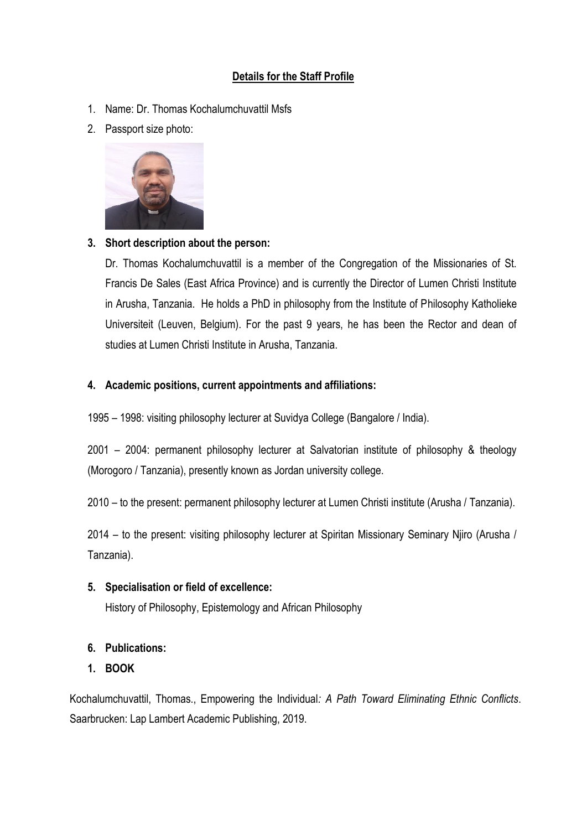# **Details for the Staff Profile**

- 1. Name: Dr. Thomas Kochalumchuvattil Msfs
- 2. Passport size photo:



### **3. Short description about the person:**

Dr. Thomas Kochalumchuvattil is a member of the Congregation of the Missionaries of St. Francis De Sales (East Africa Province) and is currently the Director of Lumen Christi Institute in Arusha, Tanzania. He holds a PhD in philosophy from the Institute of Philosophy Katholieke Universiteit (Leuven, Belgium). For the past 9 years, he has been the Rector and dean of studies at Lumen Christi Institute in Arusha, Tanzania.

### **4. Academic positions, current appointments and affiliations:**

1995 – 1998: visiting philosophy lecturer at Suvidya College (Bangalore / India).

2001 – 2004: permanent philosophy lecturer at Salvatorian institute of philosophy & theology (Morogoro / Tanzania), presently known as Jordan university college.

2010 – to the present: permanent philosophy lecturer at Lumen Christi institute (Arusha / Tanzania).

2014 – to the present: visiting philosophy lecturer at Spiritan Missionary Seminary Njiro (Arusha / Tanzania).

**5. Specialisation or field of excellence:** 

History of Philosophy, Epistemology and African Philosophy

## **6. Publications:**

## **1. BOOK**

Kochalumchuvattil, Thomas., Empowering the Individual*: A Path Toward Eliminating Ethnic Conflicts*. Saarbrucken: Lap Lambert Academic Publishing, 2019.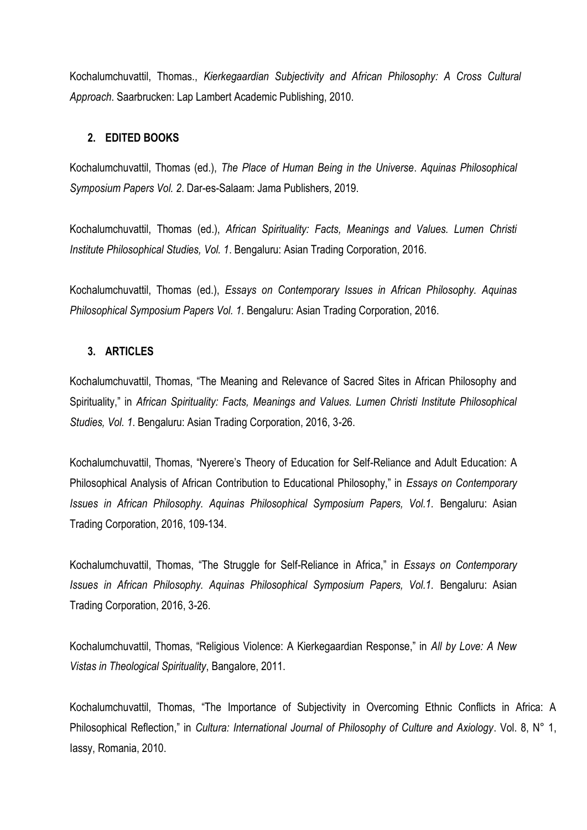Kochalumchuvattil, Thomas., *Kierkegaardian Subjectivity and African Philosophy: A Cross Cultural Approach*. Saarbrucken: Lap Lambert Academic Publishing, 2010.

#### **2. EDITED BOOKS**

Kochalumchuvattil, Thomas (ed.), *The Place of Human Being in the Universe*. *Aquinas Philosophical Symposium Papers Vol. 2*. Dar-es-Salaam: Jama Publishers, 2019.

Kochalumchuvattil, Thomas (ed.), *African Spirituality: Facts, Meanings and Values. Lumen Christi Institute Philosophical Studies, Vol. 1*. Bengaluru: Asian Trading Corporation, 2016.

Kochalumchuvattil, Thomas (ed.), *Essays on Contemporary Issues in African Philosophy. Aquinas Philosophical Symposium Papers Vol. 1*. Bengaluru: Asian Trading Corporation, 2016.

#### **3. ARTICLES**

Kochalumchuvattil, Thomas, "The Meaning and Relevance of Sacred Sites in African Philosophy and Spirituality," in *African Spirituality: Facts, Meanings and Values. Lumen Christi Institute Philosophical Studies, Vol. 1*. Bengaluru: Asian Trading Corporation, 2016, 3-26.

Kochalumchuvattil, Thomas, "Nyerere's Theory of Education for Self-Reliance and Adult Education: A Philosophical Analysis of African Contribution to Educational Philosophy," in *Essays on Contemporary Issues in African Philosophy. Aquinas Philosophical Symposium Papers, Vol.1.* Bengaluru: Asian Trading Corporation, 2016, 109-134.

Kochalumchuvattil, Thomas, "The Struggle for Self-Reliance in Africa," in *Essays on Contemporary Issues in African Philosophy. Aquinas Philosophical Symposium Papers, Vol.1.* Bengaluru: Asian Trading Corporation, 2016, 3-26.

Kochalumchuvattil, Thomas, "Religious Violence: A Kierkegaardian Response," in *All by Love: A New Vistas in Theological Spirituality*, Bangalore, 2011.

Kochalumchuvattil, Thomas, "The Importance of Subjectivity in Overcoming Ethnic Conflicts in Africa: A Philosophical Reflection," in *Cultura: International Journal of Philosophy of Culture and Axiology*. Vol. 8, N° 1, Iassy, Romania, 2010.